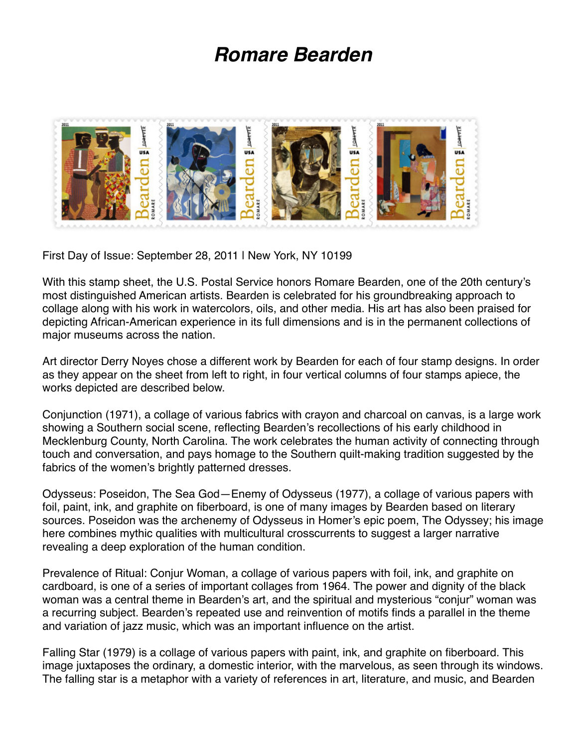## *Romare Bearden*



First Day of Issue: September 28, 2011 | New York, NY 10199

With this stamp sheet, the U.S. Postal Service honors Romare Bearden, one of the 20th century's most distinguished American artists. Bearden is celebrated for his groundbreaking approach to collage along with his work in watercolors, oils, and other media. His art has also been praised for depicting African-American experience in its full dimensions and is in the permanent collections of major museums across the nation.

Art director Derry Noyes chose a different work by Bearden for each of four stamp designs. In order as they appear on the sheet from left to right, in four vertical columns of four stamps apiece, the works depicted are described below.

Conjunction (1971), a collage of various fabrics with crayon and charcoal on canvas, is a large work showing a Southern social scene, reflecting Bearden's recollections of his early childhood in Mecklenburg County, North Carolina. The work celebrates the human activity of connecting through touch and conversation, and pays homage to the Southern quilt-making tradition suggested by the fabrics of the women's brightly patterned dresses.

Odysseus: Poseidon, The Sea God—Enemy of Odysseus (1977), a collage of various papers with foil, paint, ink, and graphite on fiberboard, is one of many images by Bearden based on literary sources. Poseidon was the archenemy of Odysseus in Homer's epic poem, The Odyssey; his image here combines mythic qualities with multicultural crosscurrents to suggest a larger narrative revealing a deep exploration of the human condition.

Prevalence of Ritual: Conjur Woman, a collage of various papers with foil, ink, and graphite on cardboard, is one of a series of important collages from 1964. The power and dignity of the black woman was a central theme in Bearden's art, and the spiritual and mysterious "conjur" woman was a recurring subject. Bearden's repeated use and reinvention of motifs finds a parallel in the theme and variation of jazz music, which was an important influence on the artist.

Falling Star (1979) is a collage of various papers with paint, ink, and graphite on fiberboard. This image juxtaposes the ordinary, a domestic interior, with the marvelous, as seen through its windows. The falling star is a metaphor with a variety of references in art, literature, and music, and Bearden